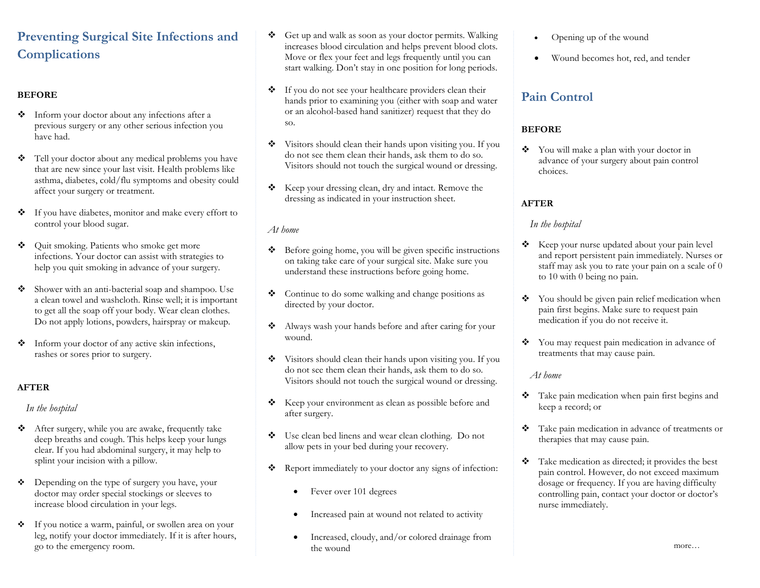# **Preventing Surgical Site Infections and Complications**

#### **BEFORE**

- Inform your doctor about any infections after a previous surgery or any other serious infection you have had.
- \* Tell your doctor about any medical problems you have that are new since your last visit. Health problems like asthma, diabetes, cold/flu symptoms and obesity could affect your surgery or treatment.
- If you have diabetes, monitor and make every effort to control your blood sugar.
- ◆ Ouit smoking. Patients who smoke get more infections. Your doctor can assist with strategies to help you quit smoking in advance of your surgery.
- Shower with an anti-bacterial soap and shampoo. Use a clean towel and washcloth. Rinse well; it is important to get all the soap off your body. Wear clean clothes. Do not apply lotions, powders, hairspray or makeup.
- Inform your doctor of any active skin infections, rashes or sores prior to surgery.

#### **AFTER**

*In the hospital*

- After surgery, while you are awake, frequently take deep breaths and cough. This helps keep your lungs clear. If you had abdominal surgery, it may help to splint your incision with a pillow.
- $\triangle$  Depending on the type of surgery you have, your doctor may order special stockings or sleeves to increase blood circulation in your legs.
- If you notice a warm, painful, or swollen area on your leg, notify your doctor immediately. If it is after hours, go to the emergency room.
- Get up and walk as soon as your doctor permits. Walking increases blood circulation and helps prevent blood clots. Move or flex your feet and legs frequently until you can start walking. Don't stay in one position for long periods.
- If you do not see your healthcare providers clean their hands prior to examining you (either with soap and water or an alcohol-based hand sanitizer) request that they do so.
- Visitors should clean their hands upon visiting you. If you do not see them clean their hands, ask them to do so. Visitors should not touch the surgical wound or dressing.
- \* Keep your dressing clean, dry and intact. Remove the dressing as indicated in your instruction sheet.

#### *At home*

- Before going home, you will be given specific instructions on taking take care of your surgical site. Make sure you understand these instructions before going home.
- \* Continue to do some walking and change positions as directed by your doctor.
- \* Always wash your hands before and after caring for your wound.
- Visitors should clean their hands upon visiting you. If you do not see them clean their hands, ask them to do so. Visitors should not touch the surgical wound or dressing.
- \* Keep your environment as clean as possible before and after surgery.
- Use clean bed linens and wear clean clothing. Do not allow pets in your bed during your recovery.
- \* Report immediately to your doctor any signs of infection:
	- Fever over 101 degrees
	- Increased pain at wound not related to activity
	- Increased, cloudy, and/or colored drainage from the wound
- Opening up of the wound
- Wound becomes hot, red, and tender

# **Pain Control**

### **BEFORE**

 You will make a plan with your doctor in advance of your surgery about pain control choices.

#### **AFTER**

#### *In the hospital*

- \* Keep your nurse updated about your pain level and report persistent pain immediately. Nurses or staff may ask you to rate your pain on a scale of 0 to 10 with 0 being no pain.
- ◆ You should be given pain relief medication when pain first begins. Make sure to request pain medication if you do not receive it.
- You may request pain medication in advance of treatments that may cause pain.

#### *At home*

- \* Take pain medication when pain first begins and keep a record; or
- \* Take pain medication in advance of treatments or therapies that may cause pain.
- $\bullet$  Take medication as directed; it provides the best pain control. However, do not exceed maximum dosage or frequency. If you are having difficulty controlling pain, contact your doctor or doctor's nurse immediately.